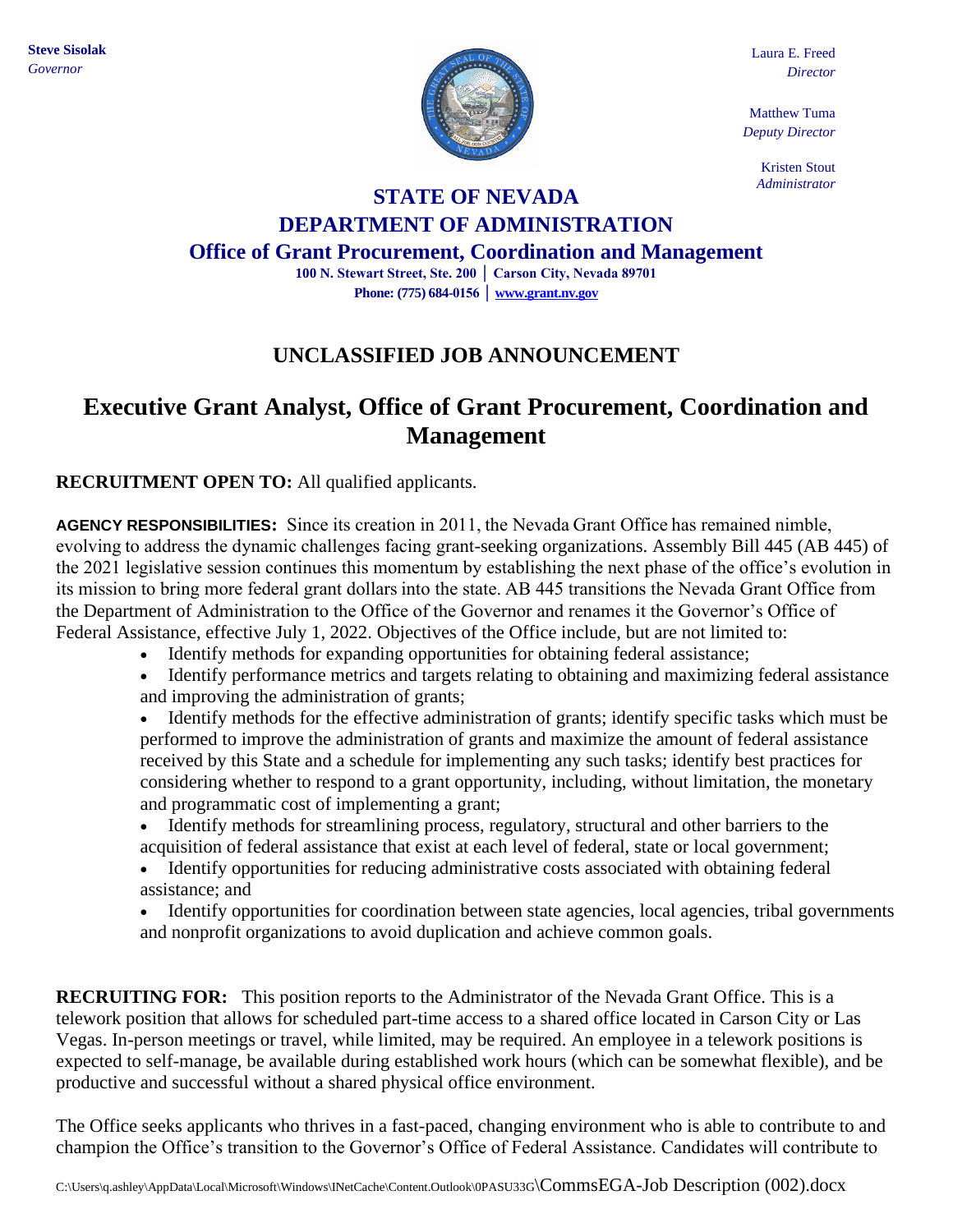

Laura E. Freed *Director*

Matthew Tuma *Deputy Director*

> Kristen Stout *Administrator*

# **STATE OF NEVADA DEPARTMENT OF ADMINISTRATION**

**Office of Grant Procurement, Coordination and Management**

**100 N. Stewart Street, Ste. 200 │ Carson City, Nevada 89701 Phone: (775) 684-0156 [│ www.grant.nv.gov](http://www.grant.nv.gov/)**

### **UNCLASSIFIED JOB ANNOUNCEMENT**

## **Executive Grant Analyst, Office of Grant Procurement, Coordination and Management**

**RECRUITMENT OPEN TO:** All qualified applicants.

**AGENCY RESPONSIBILITIES:** Since its creation in 2011, the Nevada Grant Office has remained nimble, evolving to address the dynamic challenges facing grant-seeking organizations. Assembly Bill 445 (AB 445) of the 2021 legislative session continues this momentum by establishing the next phase of the office's evolution in its mission to bring more federal grant dollars into the state. AB 445 transitions the Nevada Grant Office from the Department of Administration to the Office of the Governor and renames it the Governor's Office of Federal Assistance, effective July 1, 2022. Objectives of the Office include, but are not limited to:

- Identify methods for expanding opportunities for obtaining federal assistance;
- Identify performance metrics and targets relating to obtaining and maximizing federal assistance and improving the administration of grants;

• Identify methods for the effective administration of grants; identify specific tasks which must be performed to improve the administration of grants and maximize the amount of federal assistance received by this State and a schedule for implementing any such tasks; identify best practices for considering whether to respond to a grant opportunity, including, without limitation, the monetary and programmatic cost of implementing a grant;

- Identify methods for streamlining process, regulatory, structural and other barriers to the acquisition of federal assistance that exist at each level of federal, state or local government;
- Identify opportunities for reducing administrative costs associated with obtaining federal assistance; and
- Identify opportunities for coordination between state agencies, local agencies, tribal governments and nonprofit organizations to avoid duplication and achieve common goals.

**RECRUITING FOR:** This position reports to the Administrator of the Nevada Grant Office. This is a telework position that allows for scheduled part-time access to a shared office located in Carson City or Las Vegas. In-person meetings or travel, while limited, may be required. An employee in a telework positions is expected to self-manage, be available during established work hours (which can be somewhat flexible), and be productive and successful without a shared physical office environment.

The Office seeks applicants who thrives in a fast-paced, changing environment who is able to contribute to and champion the Office's transition to the Governor's Office of Federal Assistance. Candidates will contribute to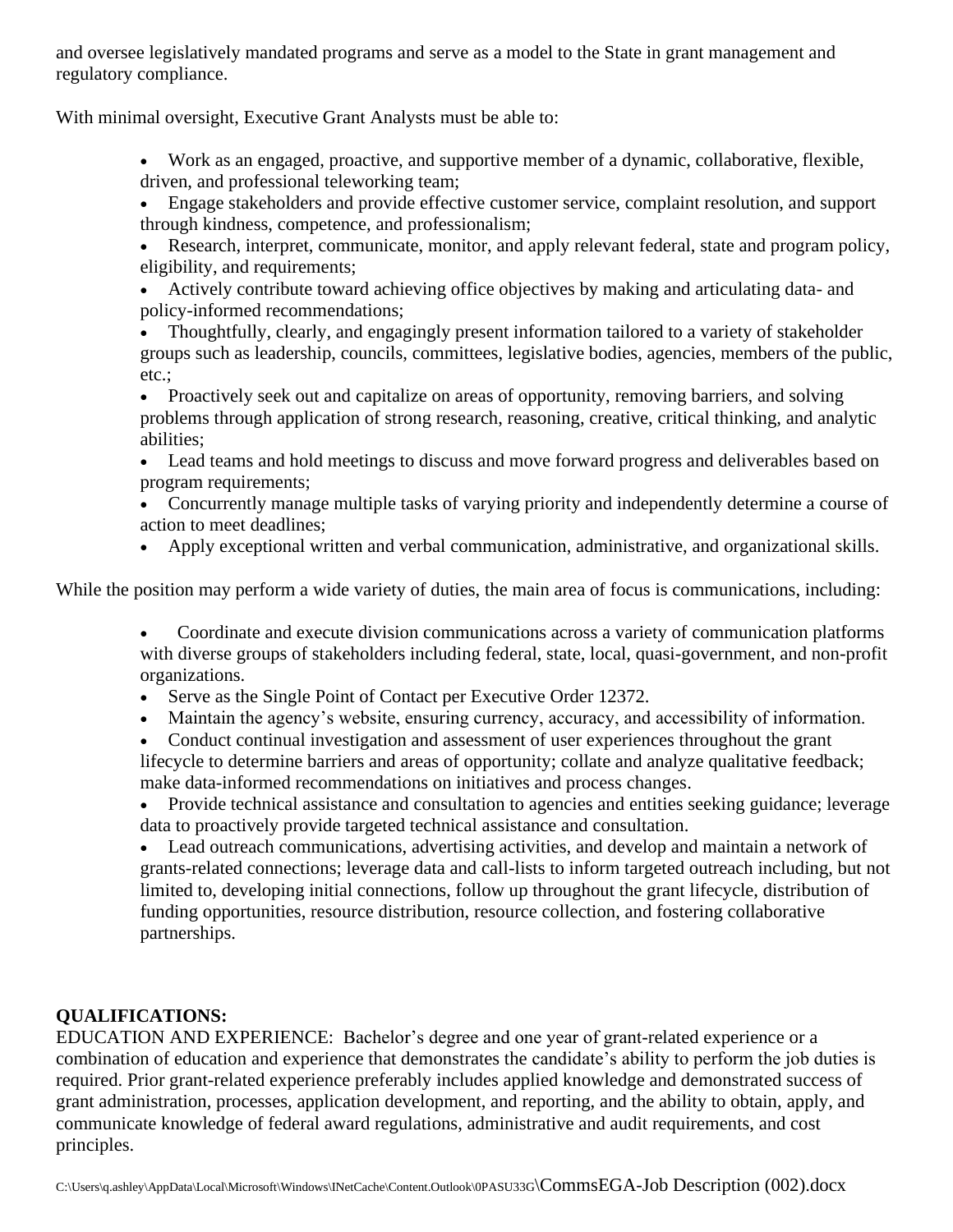and oversee legislatively mandated programs and serve as a model to the State in grant management and regulatory compliance.

With minimal oversight, Executive Grant Analysts must be able to:

- Work as an engaged, proactive, and supportive member of a dynamic, collaborative, flexible, driven, and professional teleworking team;
- Engage stakeholders and provide effective customer service, complaint resolution, and support through kindness, competence, and professionalism;
- Research, interpret, communicate, monitor, and apply relevant federal, state and program policy, eligibility, and requirements;
- Actively contribute toward achieving office objectives by making and articulating data- and policy-informed recommendations;
- Thoughtfully, clearly, and engagingly present information tailored to a variety of stakeholder groups such as leadership, councils, committees, legislative bodies, agencies, members of the public, etc.;
- Proactively seek out and capitalize on areas of opportunity, removing barriers, and solving problems through application of strong research, reasoning, creative, critical thinking, and analytic abilities;
- Lead teams and hold meetings to discuss and move forward progress and deliverables based on program requirements;
- Concurrently manage multiple tasks of varying priority and independently determine a course of action to meet deadlines;
- Apply exceptional written and verbal communication, administrative, and organizational skills.

While the position may perform a wide variety of duties, the main area of focus is communications, including:

- Coordinate and execute division communications across a variety of communication platforms with diverse groups of stakeholders including federal, state, local, quasi-government, and non-profit organizations.
- Serve as the Single Point of Contact per Executive Order 12372.
- Maintain the agency's website, ensuring currency, accuracy, and accessibility of information.
- Conduct continual investigation and assessment of user experiences throughout the grant lifecycle to determine barriers and areas of opportunity; collate and analyze qualitative feedback; make data-informed recommendations on initiatives and process changes.

• Provide technical assistance and consultation to agencies and entities seeking guidance; leverage data to proactively provide targeted technical assistance and consultation.

• Lead outreach communications, advertising activities, and develop and maintain a network of grants-related connections; leverage data and call-lists to inform targeted outreach including, but not limited to, developing initial connections, follow up throughout the grant lifecycle, distribution of funding opportunities, resource distribution, resource collection, and fostering collaborative partnerships.

#### **QUALIFICATIONS:**

EDUCATION AND EXPERIENCE: Bachelor's degree and one year of grant-related experience or a combination of education and experience that demonstrates the candidate's ability to perform the job duties is required. Prior grant-related experience preferably includes applied knowledge and demonstrated success of grant administration, processes, application development, and reporting, and the ability to obtain, apply, and communicate knowledge of federal award regulations, administrative and audit requirements, and cost principles.